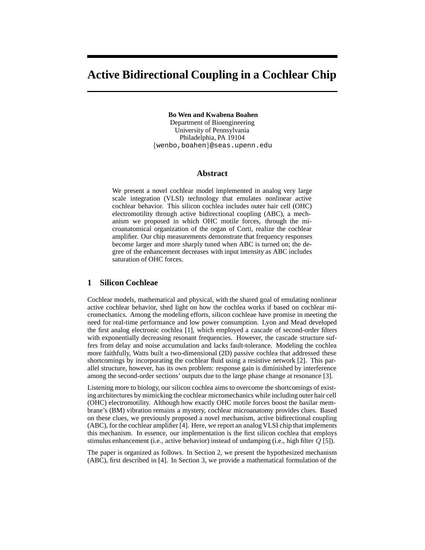# **Active Bidirectional Coupling in a Cochlear Chip**

**Bo Wen and Kwabena Boahen** Department of Bioengineering University of Pennsylvania Philadelphia, PA 19104 {wenbo,boahen}@seas.upenn.edu

### **Abstract**

We present a novel cochlear model implemented in analog very large scale integration (VLSI) technology that emulates nonlinear active cochlear behavior. This silicon cochlea includes outer hair cell (OHC) electromotility through active bidirectional coupling (ABC), a mechanism we proposed in which OHC motile forces, through the microanatomical organization of the organ of Corti, realize the cochlear amplifier. Our chip measurements demonstrate that frequency responses become larger and more sharply tuned when ABC is turned on; the degree of the enhancement decreases with input intensity as ABC includes saturation of OHC forces.

# **1 Silicon Cochleae**

Cochlear models, mathematical and physical, with the shared goal of emulating nonlinear active cochlear behavior, shed light on how the cochlea works if based on cochlear micromechanics. Among the modeling efforts, silicon cochleae have promise in meeting the need for real-time performance and low power consumption. Lyon and Mead developed the first analog electronic cochlea [1], which employed a cascade of second-order filters with exponentially decreasing resonant frequencies. However, the cascade structure suffers from delay and noise accumulation and lacks fault-tolerance. Modeling the cochlea more faithfully, Watts built a two-dimensional (2D) passive cochlea that addressed these shortcomings by incorporating the cochlear fluid using a resistive network [2]. This parallel structure, however, has its own problem: response gain is diminished by interference among the second-order sections' outputs due to the large phase change at resonance [3].

Listening more to biology, our silicon cochlea aims to overcome the shortcomings of existing architectures by mimicking the cochlear micromechanics while including outer hair cell (OHC) electromotility. Although how exactly OHC motile forces boost the basilar membrane's (BM) vibration remains a mystery, cochlear microanatomy provides clues. Based on these clues, we previously proposed a novel mechanism, active bidirectional coupling (ABC), for the cochlear amplifier [4]. Here, we report an analog VLSI chip that implements this mechanism. In essence, our implementation is the first silicon cochlea that employs stimulus enhancement (i.e., active behavior) instead of undamping (i.e., high filter  $Q_{\text{S}}(5)$ ).

The paper is organized as follows. In Section 2, we present the hypothesized mechanism (ABC), first described in [4]. In Section 3, we provide a mathematical formulation of the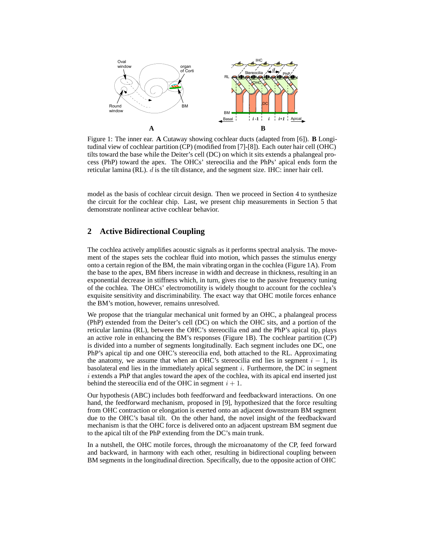

Figure 1: The inner ear. **A** Cutaway showing cochlear ducts (adapted from [6]). **B** Longitudinal view of cochlear partition (CP) (modified from [7]-[8]). Each outer hair cell (OHC) tilts toward the base while the Deiter's cell (DC) on which it sits extends a phalangeal process (PhP) toward the apex. The OHCs' stereocilia and the PhPs' apical ends form the reticular lamina (RL). d is the tilt distance, and the segment size. IHC: inner hair cell.

model as the basis of cochlear circuit design. Then we proceed in Section 4 to synthesize the circuit for the cochlear chip. Last, we present chip measurements in Section 5 that demonstrate nonlinear active cochlear behavior.

## **2 Active Bidirectional Coupling**

The cochlea actively amplifies acoustic signals as it performs spectral analysis. The movement of the stapes sets the cochlear fluid into motion, which passes the stimulus energy onto a certain region of the BM, the main vibrating organ in the cochlea (Figure 1A). From the base to the apex, BM fibers increase in width and decrease in thickness, resulting in an exponential decrease in stiffness which, in turn, gives rise to the passive frequency tuning of the cochlea. The OHCs' electromotility is widely thought to account for the cochlea's exquisite sensitivity and discriminability. The exact way that OHC motile forces enhance the BM's motion, however, remains unresolved.

We propose that the triangular mechanical unit formed by an OHC, a phalangeal process (PhP) extended from the Deiter's cell (DC) on which the OHC sits, and a portion of the reticular lamina (RL), between the OHC's stereocilia end and the PhP's apical tip, plays an active role in enhancing the BM's responses (Figure 1B). The cochlear partition (CP) is divided into a number of segments longitudinally. Each segment includes one DC, one PhP's apical tip and one OHC's stereocilia end, both attached to the RL. Approximating the anatomy, we assume that when an OHC's stereocilia end lies in segment  $i - 1$ , its basolateral end lies in the immediately apical segment  $i$ . Furthermore, the DC in segment  $i$  extends a PhP that angles toward the apex of the cochlea, with its apical end inserted just behind the stereocilia end of the OHC in segment  $i + 1$ .

Our hypothesis (ABC) includes both feedforward and feedbackward interactions. On one hand, the feedforward mechanism, proposed in [9], hypothesized that the force resulting from OHC contraction or elongation is exerted onto an adjacent downstream BM segment due to the OHC's basal tilt. On the other hand, the novel insight of the feedbackward mechanism is that the OHC force is delivered onto an adjacent upstream BM segment due to the apical tilt of the PhP extending from the DC's main trunk.

In a nutshell, the OHC motile forces, through the microanatomy of the CP, feed forward and backward, in harmony with each other, resulting in bidirectional coupling between BM segments in the longitudinal direction. Specifically, due to the opposite action of OHC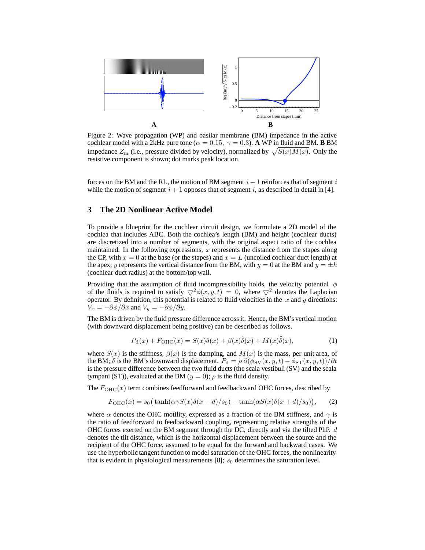

Figure 2: Wave propagation (WP) and basilar membrane (BM) impedance in the active cochlear model with a 2kHz pure tone ( $\alpha = 0.15$ ,  $\gamma = 0.3$ ). **A** WP in fluid and BM. **B** BM impedance  $Z_{\text{m}}$  (i.e., pressure divided by velocity), normalized by  $\sqrt{S(x)M(x)}$ . Only the resistive component is shown; dot marks peak location.

forces on the BM and the RL, the motion of BM segment  $i - 1$  reinforces that of segment i while the motion of segment  $i + 1$  opposes that of segment i, as described in detail in [4].

# **3 The 2D Nonlinear Active Model**

To provide a blueprint for the cochlear circuit design, we formulate a 2D model of the cochlea that includes ABC. Both the cochlea's length (BM) and height (cochlear ducts) are discretized into a number of segments, with the original aspect ratio of the cochlea maintained. In the following expressions,  $x$  represents the distance from the stapes along the CP, with  $x = 0$  at the base (or the stapes) and  $x = L$  (uncoiled cochlear duct length) at the apex; y represents the vertical distance from the BM, with  $y = 0$  at the BM and  $y = \pm h$ (cochlear duct radius) at the bottom/top wall.

Providing that the assumption of fluid incompressibility holds, the velocity potential  $\phi$ of the fluids is required to satisfy  $\bigtriangledown^2 \phi(x, y, t) = 0$ , where  $\bigtriangledown^2$  denotes the Laplacian operator. By definition, this potential is related to fluid velocities in the  $x$  and  $y$  directions:  $\overline{V_x} = -\partial \phi / \partial x$  and  $V_y = -\overline{\partial} \phi / \partial y$ .

The BM is driven by the fluid pressure difference across it. Hence, the BM's vertical motion (with downward displacement being positive) can be described as follows.

$$
P_{\mathbf{d}}(x) + F_{\mathbf{OHC}}(x) = S(x)\delta(x) + \beta(x)\dot{\delta}(x) + M(x)\ddot{\delta}(x),\tag{1}
$$

where  $S(x)$  is the stiffness,  $\beta(x)$  is the damping, and  $M(x)$  is the mass, per unit area, of the BM;  $\delta$  is the BM's downward displacement.  $P_d = \rho \partial(\phi_{SV}(x, y, t) - \phi_{ST}(x, y, t))/\partial t$ is the pressure difference between the two fluid ducts (the scala vestibuli (SV) and the scala tympani (ST)), evaluated at the BM ( $y = 0$ );  $\rho$  is the fluid density.

The  $F_{\text{OHC}}(x)$  term combines feedforward and feedbackward OHC forces, described by

$$
F_{\text{OHC}}(x) = s_0 \left( \tanh(\alpha \gamma S(x) \delta(x - d)/s_0) - \tanh(\alpha S(x) \delta(x + d)/s_0) \right), \tag{2}
$$

where  $\alpha$  denotes the OHC motility, expressed as a fraction of the BM stiffness, and  $\gamma$  is the ratio of feedforward to feedbackward coupling, representing relative strengths of the OHC forces exerted on the BM segment through the DC, directly and via the tilted PhP. d denotes the tilt distance, which is the horizontal displacement between the source and the recipient of the OHC force, assumed to be equal for the forward and backward cases. We use the hyperbolic tangent function to model saturation of the OHC forces, the nonlinearity that is evident in physiological measurements  $[8]$ ;  $s_0$  determines the saturation level.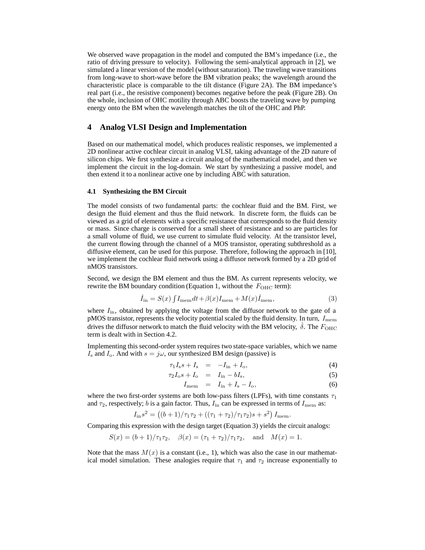We observed wave propagation in the model and computed the BM's impedance (i.e., the ratio of driving pressure to velocity). Following the semi-analytical approach in [2], we simulated a linear version of the model (without saturation). The traveling wave transitions from long-wave to short-wave before the BM vibration peaks; the wavelength around the characteristic place is comparable to the tilt distance (Figure 2A). The BM impedance's real part (i.e., the resistive component) becomes negative before the peak (Figure 2B). On the whole, inclusion of OHC motility through ABC boosts the traveling wave by pumping energy onto the BM when the wavelength matches the tilt of the OHC and PhP.

## **4 Analog VLSI Design and Implementation**

Based on our mathematical model, which produces realistic responses, we implemented a 2D nonlinear active cochlear circuit in analog VLSI, taking advantage of the 2D nature of silicon chips. We first synthesize a circuit analog of the mathematical model, and then we implement the circuit in the log-domain. We start by synthesizing a passive model, and then extend it to a nonlinear active one by including ABC with saturation.

### **4.1 Synthesizing the BM Circuit**

The model consists of two fundamental parts: the cochlear fluid and the BM. First, we design the fluid element and thus the fluid network. In discrete form, the fluids can be viewed as a grid of elements with a specific resistance that corresponds to the fluid density or mass. Since charge is conserved for a small sheet of resistance and so are particles for a small volume of fluid, we use current to simulate fluid velocity. At the transistor level, the current flowing through the channel of a MOS transistor, operating subthreshold as a diffusive element, can be used for this purpose. Therefore, following the approach in [10], we implement the cochlear fluid network using a diffusor network formed by a 2D grid of nMOS transistors.

Second, we design the BM element and thus the BM. As current represents velocity, we rewrite the BM boundary condition (Equation 1, without the  $F_{\text{OHC}}$  term):

$$
\dot{I}_{\text{in}} = S(x) \int I_{\text{mem}} dt + \beta(x) I_{\text{mem}} + M(x) \dot{I}_{\text{mem}},
$$
\n(3)

where  $I_{\text{in}}$ , obtained by applying the voltage from the diffusor network to the gate of a pMOS transistor, represents the velocity potential scaled by the fluid density. In turn,  $I_{\text{mem}}$ drives the diffusor network to match the fluid velocity with the BM velocity,  $\dot{\delta}$ . The  $F_{\text{OHC}}$ term is dealt with in Section 4.2.

Implementing this second-order system requires two state-space variables, which we name  $I_s$  and  $I_o$ . And with  $s = j\omega$ , our synthesized BM design (passive) is

$$
\tau_1 I_s s + I_s = -I_{\rm in} + I_o,\tag{4}
$$

$$
\tau_2 I_{\rm o} s + I_{\rm o} = I_{\rm in} - b I_{\rm s},\tag{5}
$$

$$
I_{\text{mem}} = I_{\text{in}} + I_{\text{s}} - I_{\text{o}}, \tag{6}
$$

where the two first-order systems are both low-pass filters (LPFs), with time constants  $\tau_1$ and  $\tau_2$ , respectively; b is a gain factor. Thus,  $I_{\text{in}}$  can be expressed in terms of  $I_{\text{mem}}$  as:

$$
I_{\rm in} s^2 = ((b+1)/\tau_1 \tau_2 + ((\tau_1 + \tau_2)/\tau_1 \tau_2)s + s^2) I_{\rm mem}.
$$

Comparing this expression with the design target (Equation 3) yields the circuit analogs:

$$
S(x) = (b+1)/\tau_1\tau_2
$$
,  $\beta(x) = (\tau_1 + \tau_2)/\tau_1\tau_2$ , and  $M(x) = 1$ .

Note that the mass  $M(x)$  is a constant (i.e., 1), which was also the case in our mathematical model simulation. These analogies require that  $\tau_1$  and  $\tau_2$  increase exponentially to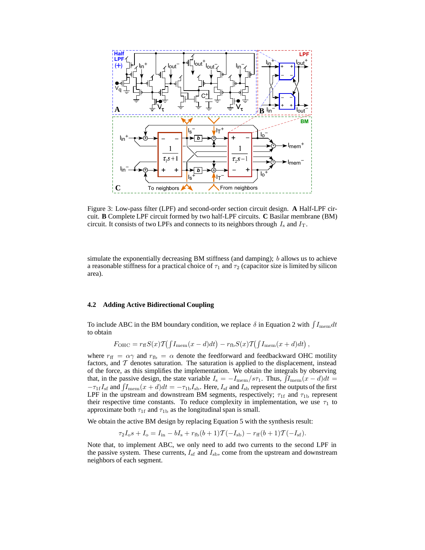

Figure 3: Low-pass filter (LPF) and second-order section circuit design. **A** Half-LPF circuit. **B** Complete LPF circuit formed by two half-LPF circuits. **C** Basilar membrane (BM) circuit. It consists of two LPFs and connects to its neighbors through  $I_s$  and  $I_T$ .

simulate the exponentially decreasing BM stiffness (and damping);  $b$  allows us to achieve a reasonable stiffness for a practical choice of  $\tau_1$  and  $\tau_2$  (capacitor size is limited by silicon area).

## **4.2 Adding Active Bidirectional Coupling**

To include ABC in the BM boundary condition, we replace  $\delta$  in Equation 2 with  $\int I_{\text{mem}} dt$ to obtain

$$
F_{\text{OHC}} = r_{\text{ff}} S(x) \mathcal{T} \big( \int I_{\text{mem}}(x - d) dt \big) - r_{\text{fb}} S(x) \mathcal{T} \big( \int I_{\text{mem}}(x + d) dt \big) \,,
$$

where  $r_{\text{ff}} = \alpha \gamma$  and  $r_{\text{fb}} = \alpha$  denote the feedforward and feedbackward OHC motility factors, and  $T$  denotes saturation. The saturation is applied to the displacement, instead of the force, as this simplifies the implementation. We obtain the integrals by observing that, in the passive design, the state variable  $I_s = -I_{\text{mem}}/s\tau_1$ . Thus,  $\int I_{\text{mem}}(x-d)dt =$  $-\tau_{1f}I_{\rm sf}$  and  $\int I_{\rm mem}(x + d)dt = -\tau_{1b}I_{\rm sb}$ . Here,  $I_{\rm sf}$  and  $I_{\rm sb}$  represent the outputs of the first LPF in the upstream and downstream BM segments, respectively;  $\tau_{1f}$  and  $\tau_{1b}$  represent their respective time constants. To reduce complexity in implementation, we use  $\tau_1$  to approximate both  $\tau_{1f}$  and  $\tau_{1b}$  as the longitudinal span is small.

We obtain the active BM design by replacing Equation 5 with the synthesis result:

$$
\tau_2 I_o s + I_o = I_{\rm in} - bI_{\rm s} + r_{\rm fb}(b+1)\mathcal{T}(-I_{\rm sb}) - r_{\rm ff}(b+1)\mathcal{T}(-I_{\rm sf}).
$$

Note that, to implement ABC, we only need to add two currents to the second LPF in the passive system. These currents,  $I_{sf}$  and  $I_{sb}$ , come from the upstream and downstream neighbors of each segment.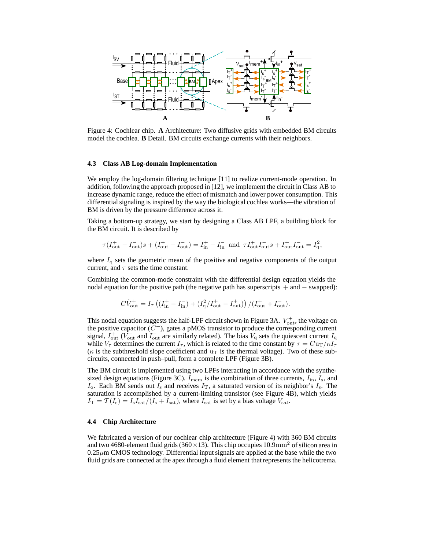

Figure 4: Cochlear chip. **A** Architecture: Two diffusive grids with embedded BM circuits model the cochlea. **B** Detail. BM circuits exchange currents with their neighbors.

#### **4.3 Class AB Log-domain Implementation**

We employ the log-domain filtering technique [11] to realize current-mode operation. In addition, following the approach proposed in [12], we implement the circuit in Class AB to increase dynamic range, reduce the effect of mismatch and lower power consumption. This differential signaling is inspired by the way the biological cochlea works—the vibration of BM is driven by the pressure difference across it.

Taking a bottom-up strategy, we start by designing a Class AB LPF, a building block for the BM circuit. It is described by

$$
\tau (I_{\rm out}^+ - I_{\rm out}^-)s + (I_{\rm out}^+ - I_{\rm out}^-) = I_{\rm in}^+ - I_{\rm in}^- \ \, {\rm and} \ \, \tau I_{\rm out}^+ I_{\rm out}^- s + I_{\rm out}^+ I_{\rm out}^- = I_{\rm q}^2,
$$

where  $I_q$  sets the geometric mean of the positive and negative components of the output current, and  $\tau$  sets the time constant.

Combining the common-mode constraint with the differential design equation yields the nodal equation for the positive path (the negative path has superscripts  $+$  and  $-$  swapped):

$$
\dot{C}\dot{V}_{\mathrm{out}}^+ = I_\tau \left((I_\mathrm{in}^+-I_\mathrm{in}^-) + (I_\mathrm{q}^2/I_\mathrm{out}^+-I_\mathrm{out}^+) \right)/(I_\mathrm{out}^++I_\mathrm{out}^-).
$$

This nodal equation suggests the half-LPF circuit shown in Figure 3A.  $V_{\text{out}}^{+}$ , the voltage on the positive capacitor  $(C^+)$ , gates a pMOS transistor to produce the corresponding current signal,  $I_{\text{out}}^+$  ( $V_{\text{out}}^-$  and  $I_{\text{out}}^-$  are similarly related). The bias  $V_q$  sets the quiescent current  $I_q$ while  $V_\tau$  determines the current  $I_\tau$ , which is related to the time constant by  $\tau = Cu_\text{T}/\kappa I_\tau$ ( $\kappa$  is the subthreshold slope coefficient and  $u<sub>T</sub>$  is the thermal voltage). Two of these subcircuits, connected in push–pull, form a complete LPF (Figure 3B).

The BM circuit is implemented using two LPFs interacting in accordance with the synthesized design equations (Figure 3C).  $I_{\text{mem}}$  is the combination of three currents,  $I_{\text{in}}$ ,  $I_{\text{s}}$ , and  $I_0$ . Each BM sends out  $I_s$  and receives  $I_T$ , a saturated version of its neighbor's  $I_s$ . The saturation is accomplished by a current-limiting transistor (see Figure 4B), which yields  $I_T = \mathcal{T}(I_s) = I_s I_{\text{sat}}/(I_s + I_{\text{sat}})$ , where  $I_{\text{sat}}$  is set by a bias voltage  $V_{\text{sat}}$ .

#### **4.4 Chip Architecture**

We fabricated a version of our cochlear chip architecture (Figure 4) with 360 BM circuits and two 4680-element fluid grids (360  $\times$  13). This chip occupies 10.9mm<sup>2</sup> of silicon area in  $0.25\mu$ m CMOS technology. Differential input signals are applied at the base while the two fluid grids are connected at the apex through a fluid element that represents the helicotrema.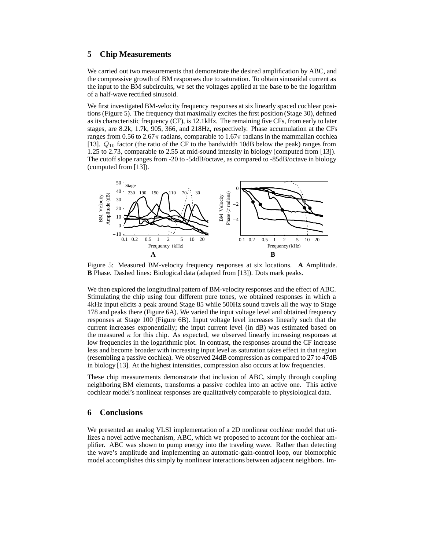## **5 Chip Measurements**

We carried out two measurements that demonstrate the desired amplification by ABC, and the compressive growth of BM responses due to saturation. To obtain sinusoidal current as the input to the BM subcircuits, we set the voltages applied at the base to be the logarithm of a half-wave rectified sinusoid.

We first investigated BM-velocity frequency responses at six linearly spaced cochlear positions (Figure 5). The frequency that maximally excites the first position (Stage 30), defined as its characteristic frequency (CF), is 12.1kHz. The remaining five CFs, from early to later stages, are 8.2k, 1.7k, 905, 366, and 218Hz, respectively. Phase accumulation at the CFs ranges from 0.56 to 2.67 $\pi$  radians, comparable to 1.67 $\pi$  radians in the mammalian cochlea [13].  $Q_{10}$  factor (the ratio of the CF to the bandwidth 10dB below the peak) ranges from 1.25 to 2.73, comparable to 2.55 at mid-sound intensity in biology (computed from [13]). The cutoff slope ranges from -20 to -54dB/octave, as compared to -85dB/octave in biology (computed from [13]).



Figure 5: Measured BM-velocity frequency responses at six locations. **A** Amplitude. **B** Phase. Dashed lines: Biological data (adapted from [13]). Dots mark peaks.

We then explored the longitudinal pattern of BM-velocity responses and the effect of ABC. Stimulating the chip using four different pure tones, we obtained responses in which a 4kHz input elicits a peak around Stage 85 while 500Hz sound travels all the way to Stage 178 and peaks there (Figure 6A). We varied the input voltage level and obtained frequency responses at Stage 100 (Figure 6B). Input voltage level increases linearly such that the current increases exponentially; the input current level (in dB) was estimated based on the measured  $\kappa$  for this chip. As expected, we observed linearly increasing responses at low frequencies in the logarithmic plot. In contrast, the responses around the CF increase less and become broader with increasing input level as saturation takes effect in that region (resembling a passive cochlea). We observed 24dB compression as compared to 27 to 47dB in biology [13]. At the highest intensities, compression also occurs at low frequencies.

These chip measurements demonstrate that inclusion of ABC, simply through coupling neighboring BM elements, transforms a passive cochlea into an active one. This active cochlear model's nonlinear responses are qualitatively comparable to physiological data.

# **6 Conclusions**

We presented an analog VLSI implementation of a 2D nonlinear cochlear model that utilizes a novel active mechanism, ABC, which we proposed to account for the cochlear amplifier. ABC was shown to pump energy into the traveling wave. Rather than detecting the wave's amplitude and implementing an automatic-gain-control loop, our biomorphic model accomplishes this simply by nonlinear interactions between adjacent neighbors. Im-